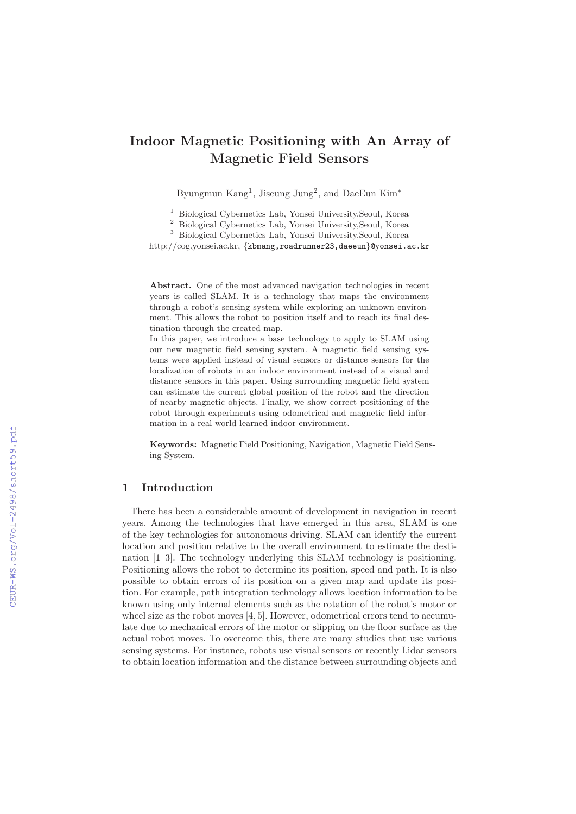# **Indoor Magnetic Positioning with An Array of Magnetic Field Sensors**

Byungmun Kang<sup>1</sup>, Jiseung Jung<sup>2</sup>, and DaeEun Kim<sup>\*</sup>

<sup>1</sup> Biological Cybernetics Lab, Yonsei University,Seoul, Korea

<sup>2</sup> Biological Cybernetics Lab, Yonsei University,Seoul, Korea

<sup>3</sup> Biological Cybernetics Lab, Yonsei University,Seoul, Korea

http://cog.yonsei.ac.kr, {kbmang,roadrunner23,daeeun}@yonsei.ac.kr

**Abstract.** One of the most advanced navigation technologies in recent years is called SLAM. It is a technology that maps the environment through a robot's sensing system while exploring an unknown environment. This allows the robot to position itself and to reach its final destination through the created map.

In this paper, we introduce a base technology to apply to SLAM using our new magnetic field sensing system. A magnetic field sensing systems were applied instead of visual sensors or distance sensors for the localization of robots in an indoor environment instead of a visual and distance sensors in this paper. Using surrounding magnetic field system can estimate the current global position of the robot and the direction of nearby magnetic objects. Finally, we show correct positioning of the robot through experiments using odometrical and magnetic field information in a real world learned indoor environment.

**Keywords:** Magnetic Field Positioning, Navigation, Magnetic Field Sensing System.

# **1 Introduction**

There has been a considerable amount of development in navigation in recent years. Among the technologies that have emerged in this area, SLAM is one of the key technologies for autonomous driving. SLAM can identify the current location and position relative to the overall environment to estimate the destination [1–3]. The technology underlying this SLAM technology is positioning. Positioning allows the robot to determine its position, speed and path. It is also possible to obtain errors of its position on a given map and update its position. For example, path integration technology allows location information to be known using only internal elements such as the rotation of the robot's motor or wheel size as the robot moves  $[4, 5]$ . However, odometrical errors tend to accumulate due to mechanical errors of the motor or slipping on the floor surface as the actual robot moves. To overcome this, there are many studies that use various sensing systems. For instance, robots use visual sensors or recently Lidar sensors to obtain location information and the distance between surrounding objects and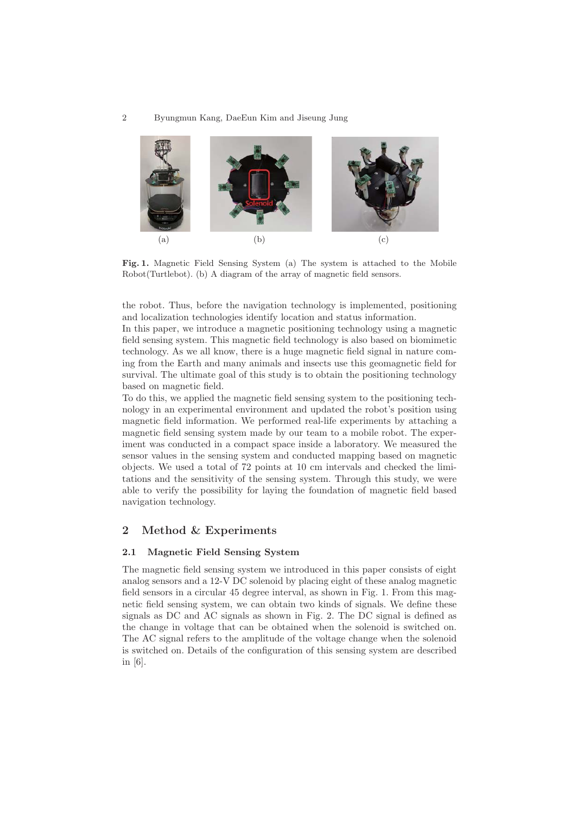

**Fig. 1.** Magnetic Field Sensing System (a) The system is attached to the Mobile Robot(Turtlebot). (b) A diagram of the array of magnetic field sensors.

the robot. Thus, before the navigation technology is implemented, positioning and localization technologies identify location and status information.

In this paper, we introduce a magnetic positioning technology using a magnetic field sensing system. This magnetic field technology is also based on biomimetic technology. As we all know, there is a huge magnetic field signal in nature coming from the Earth and many animals and insects use this geomagnetic field for survival. The ultimate goal of this study is to obtain the positioning technology based on magnetic field.

To do this, we applied the magnetic field sensing system to the positioning technology in an experimental environment and updated the robot's position using magnetic field information. We performed real-life experiments by attaching a magnetic field sensing system made by our team to a mobile robot. The experiment was conducted in a compact space inside a laboratory. We measured the sensor values in the sensing system and conducted mapping based on magnetic objects. We used a total of 72 points at 10 cm intervals and checked the limitations and the sensitivity of the sensing system. Through this study, we were able to verify the possibility for laying the foundation of magnetic field based navigation technology.

# **2 Method & Experiments**

## **2.1 Magnetic Field Sensing System**

The magnetic field sensing system we introduced in this paper consists of eight analog sensors and a 12-V DC solenoid by placing eight of these analog magnetic field sensors in a circular 45 degree interval, as shown in Fig. 1. From this magnetic field sensing system, we can obtain two kinds of signals. We define these signals as DC and AC signals as shown in Fig. 2. The DC signal is defined as the change in voltage that can be obtained when the solenoid is switched on. The AC signal refers to the amplitude of the voltage change when the solenoid is switched on. Details of the configuration of this sensing system are described in [6].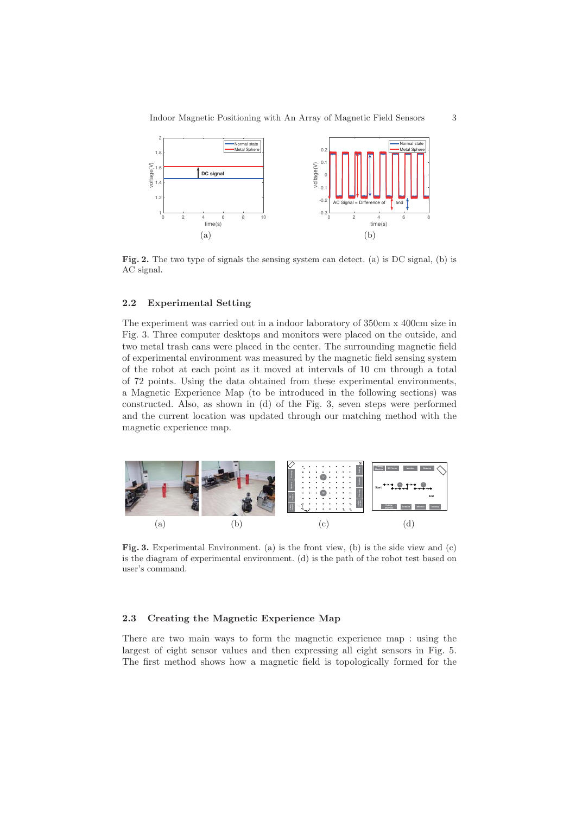

**Fig. 2.** The two type of signals the sensing system can detect. (a) is DC signal, (b) is AC signal.

#### **2.2 Experimental Setting**

The experiment was carried out in a indoor laboratory of 350cm x 400cm size in Fig. 3. Three computer desktops and monitors were placed on the outside, and two metal trash cans were placed in the center. The surrounding magnetic field of experimental environment was measured by the magnetic field sensing system of the robot at each point as it moved at intervals of 10 cm through a total of 72 points. Using the data obtained from these experimental environments, a Magnetic Experience Map (to be introduced in the following sections) was constructed. Also, as shown in (d) of the Fig. 3, seven steps were performed and the current location was updated through our matching method with the magnetic experience map.



**Fig. 3.** Experimental Environment. (a) is the front view, (b) is the side view and (c) is the diagram of experimental environment. (d) is the path of the robot test based on user's command.

# **2.3 Creating the Magnetic Experience Map**

There are two main ways to form the magnetic experience map : using the largest of eight sensor values and then expressing all eight sensors in Fig. 5. The first method shows how a magnetic field is topologically formed for the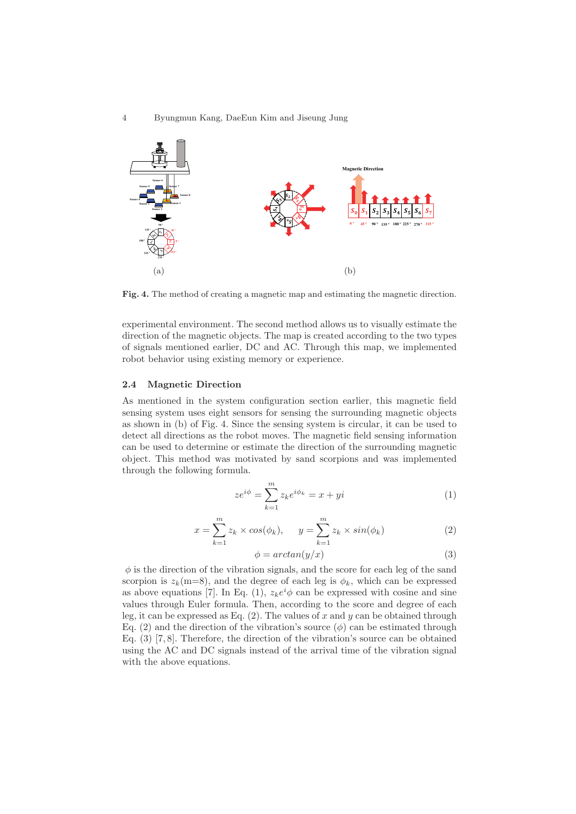#### 4 Byungmun Kang, DaeEun Kim and Jiseung Jung



**Fig. 4.** The method of creating a magnetic map and estimating the magnetic direction.

experimental environment. The second method allows us to visually estimate the direction of the magnetic objects. The map is created according to the two types of signals mentioned earlier, DC and AC. Through this map, we implemented robot behavior using existing memory or experience.

## **2.4 Magnetic Direction**

As mentioned in the system configuration section earlier, this magnetic field sensing system uses eight sensors for sensing the surrounding magnetic objects as shown in (b) of Fig. 4. Since the sensing system is circular, it can be used to detect all directions as the robot moves. The magnetic field sensing information can be used to determine or estimate the direction of the surrounding magnetic object. This method was motivated by sand scorpions and was implemented through the following formula.

$$
ze^{i\phi} = \sum_{k=1}^{m} z_k e^{i\phi_k} = x + yi \tag{1}
$$

$$
x = \sum_{k=1}^{m} z_k \times \cos(\phi_k), \qquad y = \sum_{k=1}^{m} z_k \times \sin(\phi_k)
$$
 (2)

$$
\phi = \arctan(y/x) \tag{3}
$$

 $\phi$  is the direction of the vibration signals, and the score for each leg of the sand scorpion is  $z_k(m=8)$ , and the degree of each leg is  $\phi_k$ , which can be expressed as above equations [7]. In Eq. (1),  $z_k e^i \phi$  can be expressed with cosine and sine values through Euler formula. Then, according to the score and degree of each leg, it can be expressed as Eq.  $(2)$ . The values of x and y can be obtained through Eq. (2) and the direction of the vibration's source  $(\phi)$  can be estimated through Eq. (3) [7, 8]. Therefore, the direction of the vibration's source can be obtained using the AC and DC signals instead of the arrival time of the vibration signal with the above equations.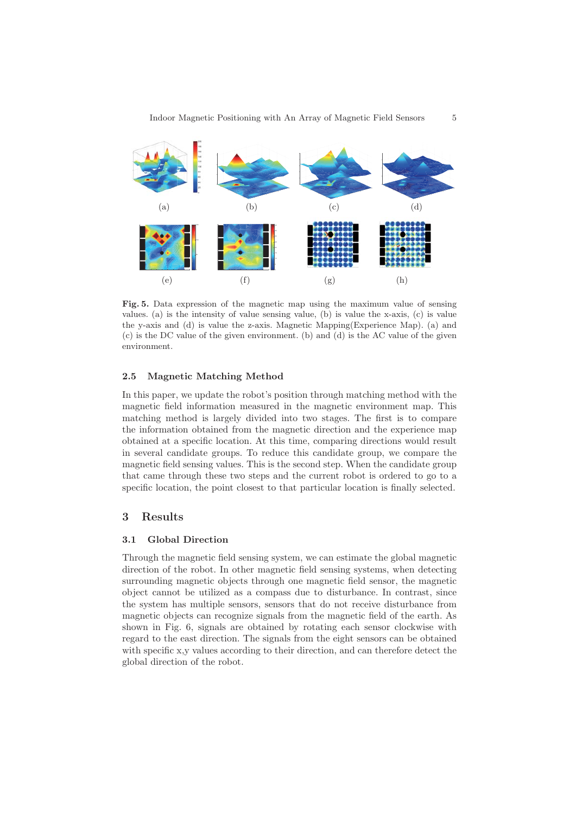

**Fig. 5.** Data expression of the magnetic map using the maximum value of sensing values. (a) is the intensity of value sensing value, (b) is value the x-axis,  $(c)$  is value the y-axis and (d) is value the z-axis. Magnetic Mapping(Experience Map). (a) and (c) is the DC value of the given environment. (b) and (d) is the AC value of the given environment.

#### **2.5 Magnetic Matching Method**

In this paper, we update the robot's position through matching method with the magnetic field information measured in the magnetic environment map. This matching method is largely divided into two stages. The first is to compare the information obtained from the magnetic direction and the experience map obtained at a specific location. At this time, comparing directions would result in several candidate groups. To reduce this candidate group, we compare the magnetic field sensing values. This is the second step. When the candidate group that came through these two steps and the current robot is ordered to go to a specific location, the point closest to that particular location is finally selected.

# **3 Results**

# **3.1 Global Direction**

Through the magnetic field sensing system, we can estimate the global magnetic direction of the robot. In other magnetic field sensing systems, when detecting surrounding magnetic objects through one magnetic field sensor, the magnetic object cannot be utilized as a compass due to disturbance. In contrast, since the system has multiple sensors, sensors that do not receive disturbance from magnetic objects can recognize signals from the magnetic field of the earth. As shown in Fig. 6, signals are obtained by rotating each sensor clockwise with regard to the east direction. The signals from the eight sensors can be obtained with specific x,y values according to their direction, and can therefore detect the global direction of the robot.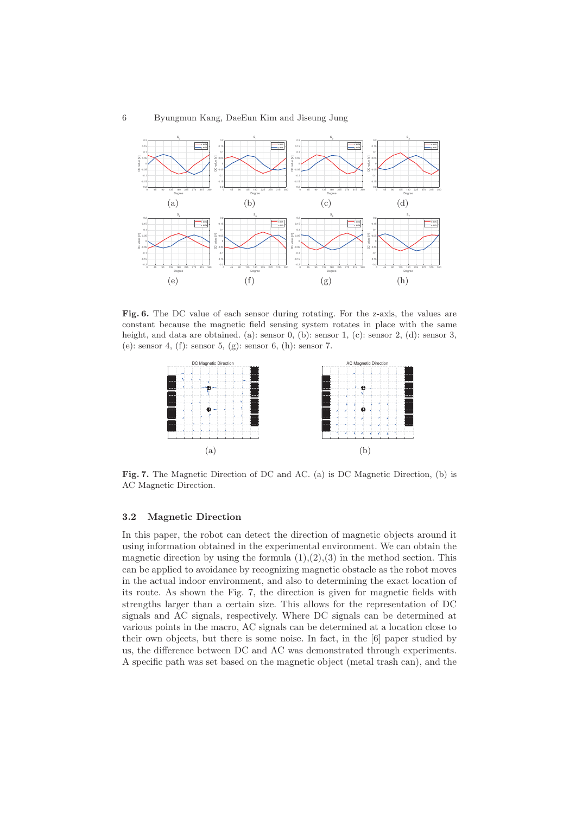

**Fig. 6.** The DC value of each sensor during rotating. For the z-axis, the values are constant because the magnetic field sensing system rotates in place with the same height, and data are obtained. (a): sensor 0, (b): sensor 1, (c): sensor 2, (d): sensor 3, (e): sensor 4, (f): sensor 5, (g): sensor 6, (h): sensor 7.



**Fig. 7.** The Magnetic Direction of DC and AC. (a) is DC Magnetic Direction, (b) is AC Magnetic Direction.

# **3.2 Magnetic Direction**

In this paper, the robot can detect the direction of magnetic objects around it using information obtained in the experimental environment. We can obtain the magnetic direction by using the formula  $(1), (2), (3)$  in the method section. This can be applied to avoidance by recognizing magnetic obstacle as the robot moves in the actual indoor environment, and also to determining the exact location of its route. As shown the Fig. 7, the direction is given for magnetic fields with strengths larger than a certain size. This allows for the representation of DC signals and AC signals, respectively. Where DC signals can be determined at various points in the macro, AC signals can be determined at a location close to their own objects, but there is some noise. In fact, in the [6] paper studied by us, the difference between DC and AC was demonstrated through experiments. A specific path was set based on the magnetic object (metal trash can), and the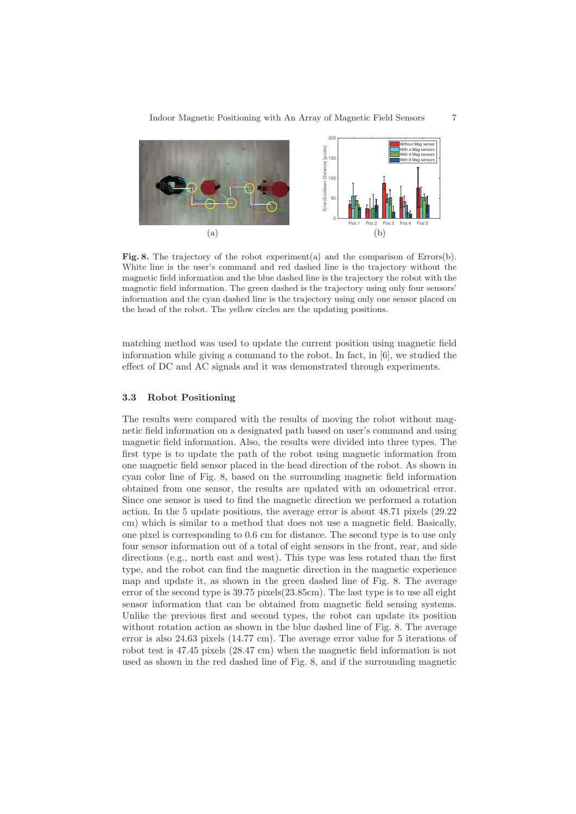

**Fig. 8.** The trajectory of the robot experiment(a) and the comparison of Errors(b). White line is the user's command and red dashed line is the trajectory without the magnetic field information and the blue dashed line is the trajectory the robot with the magnetic field information. The green dashed is the trajectory using only four sensors' information and the cyan dashed line is the trajectory using only one sensor placed on the head of the robot. The yellow circles are the updating positions.

matching method was used to update the current position using magnetic field information while giving a command to the robot. In fact, in [6], we studied the effect of DC and AC signals and it was demonstrated through experiments.

#### **3.3 Robot Positioning**

The results were compared with the results of moving the robot without magnetic field information on a designated path based on user's command and using magnetic field information. Also, the results were divided into three types. The first type is to update the path of the robot using magnetic information from one magnetic field sensor placed in the head direction of the robot. As shown in cyan color line of Fig. 8, based on the surrounding magnetic field information obtained from one sensor, the results are updated with an odometrical error. Since one sensor is used to find the magnetic direction we performed a rotation action. In the 5 update positions, the average error is about 48.71 pixels (29.22 cm) which is similar to a method that does not use a magnetic field. Basically, one pixel is corresponding to 0.6 cm for distance. The second type is to use only four sensor information out of a total of eight sensors in the front, rear, and side directions (e.g., north east and west). This type was less rotated than the first type, and the robot can find the magnetic direction in the magnetic experience map and update it, as shown in the green dashed line of Fig. 8. The average error of the second type is 39.75 pixels(23.85cm). The last type is to use all eight sensor information that can be obtained from magnetic field sensing systems. Unlike the previous first and second types, the robot can update its position without rotation action as shown in the blue dashed line of Fig. 8. The average error is also 24.63 pixels (14.77 cm). The average error value for 5 iterations of robot test is 47.45 pixels (28.47 cm) when the magnetic field information is not used as shown in the red dashed line of Fig. 8, and if the surrounding magnetic